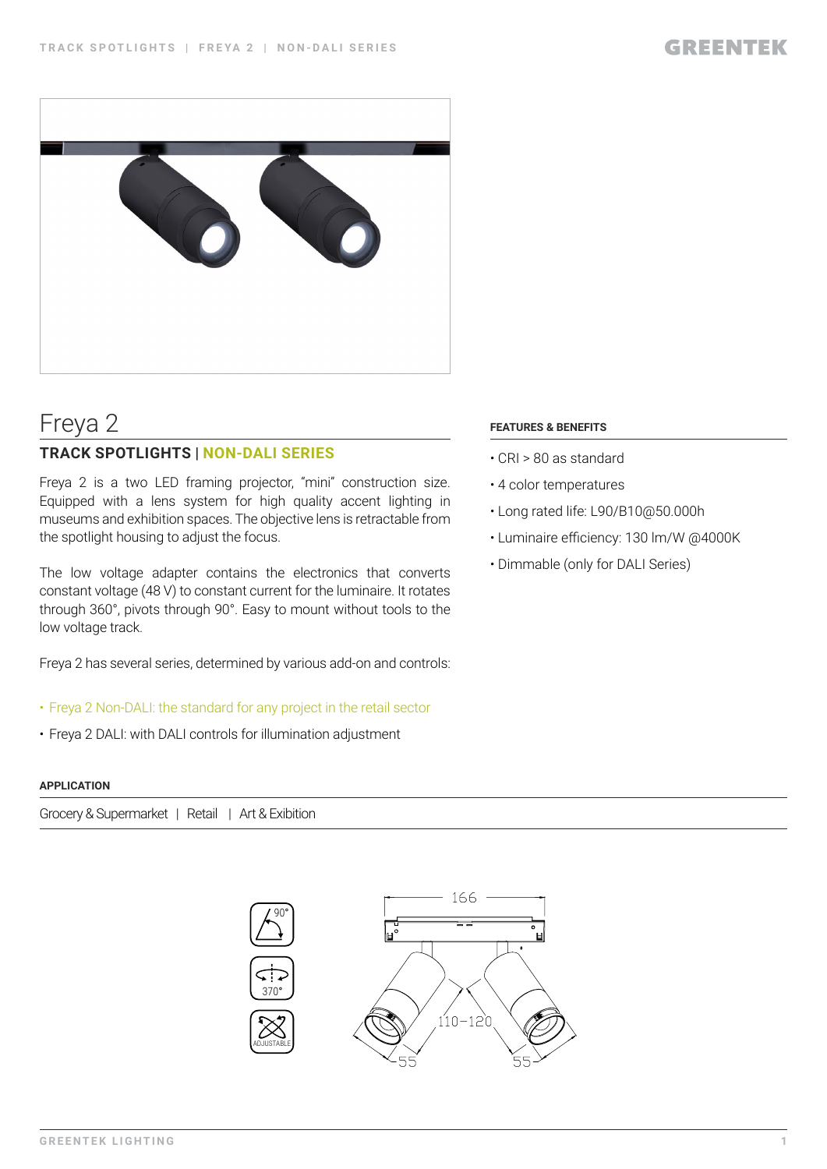

# Freya 2

### **TRACK SPOTLIGHTS | NON-DALI SERIES**

Freya 2 is a two LED framing projector, "mini" construction size. Equipped with a lens system for high quality accent lighting in museums and exhibition spaces. The objective lens is retractable from the spotlight housing to adjust the focus.

The low voltage adapter contains the electronics that converts constant voltage (48 V) to constant current for the luminaire. It rotates through 360°, pivots through 90°. Easy to mount without tools to the low voltage track.

Freya 2 has several series, determined by various add-on and controls:

- Freya 2 Non-DALI: the standard for any project in the retail sector
- Freya 2 DALI: with DALI controls for illumination adjustment

#### **APPLICATION**

Grocery & Supermarket | Retail | Art & Exibition



#### **FEATURES & BENEFITS**

- CRI > 80 as standard
- 4 color temperatures
- Long rated life: L90/B10@50.000h
- Luminaire efficiency: 130 lm/W @4000K
- Dimmable (only for DALI Series)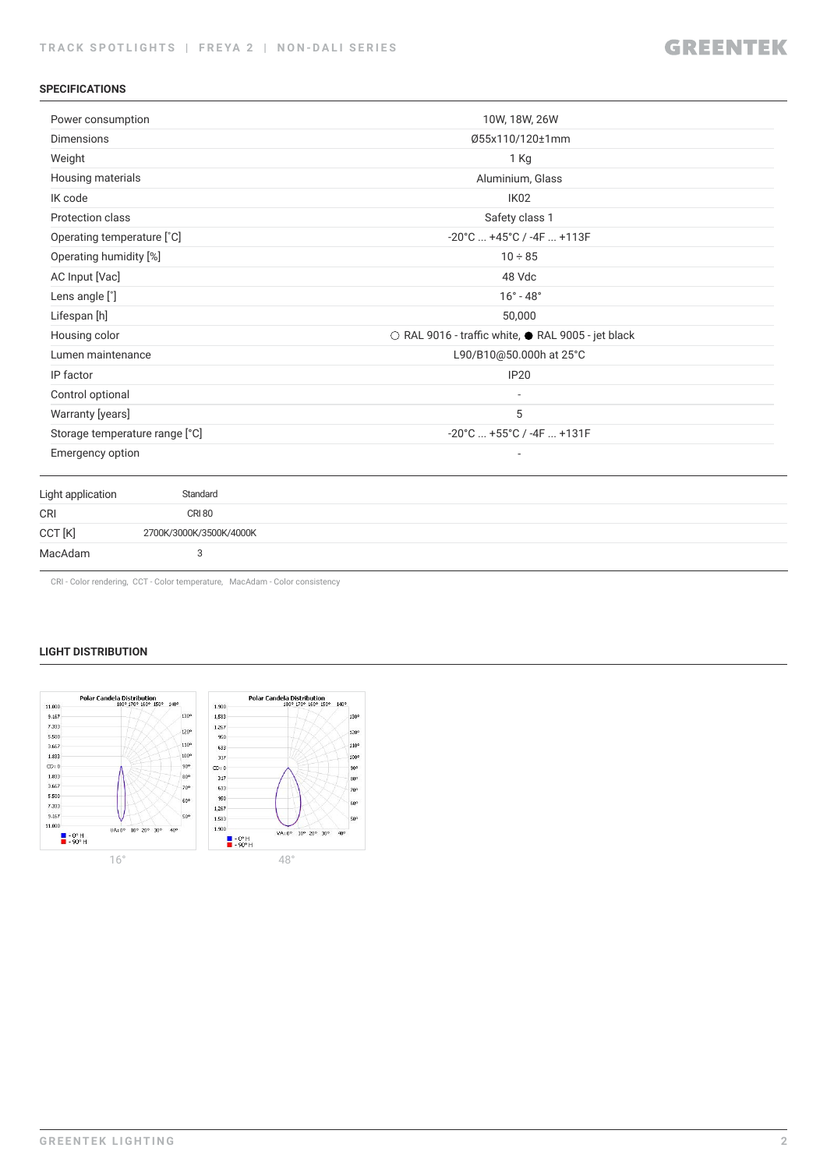#### **SPECIFICATIONS**

| Power consumption                  | 10W, 18W, 26W                                      |  |  |
|------------------------------------|----------------------------------------------------|--|--|
| <b>Dimensions</b>                  | Ø55x110/120±1mm                                    |  |  |
| Weight                             | 1 Kg                                               |  |  |
| Housing materials                  | Aluminium, Glass                                   |  |  |
| IK code                            | IK02                                               |  |  |
| Protection class                   | Safety class 1                                     |  |  |
| Operating temperature [°C]         | $-20^{\circ}$ C $+45^{\circ}$ C / $-4F$ $+113F$    |  |  |
| Operating humidity [%]             | $10 \div 85$                                       |  |  |
| AC Input [Vac]                     | 48 Vdc                                             |  |  |
| Lens angle [°]                     | $16^{\circ} - 48^{\circ}$                          |  |  |
| Lifespan [h]                       | 50,000                                             |  |  |
| Housing color                      | ○ RAL 9016 - traffic white, ● RAL 9005 - jet black |  |  |
| Lumen maintenance                  | L90/B10@50.000h at 25°C                            |  |  |
| IP factor                          | <b>IP20</b>                                        |  |  |
| Control optional                   |                                                    |  |  |
| Warranty [years]<br>5              |                                                    |  |  |
| Storage temperature range [°C]     | $-20^{\circ}$ C $+55^{\circ}$ C / $-4F$ $+131F$    |  |  |
| Emergency option                   |                                                    |  |  |
| Standard<br>Light application      |                                                    |  |  |
| <b>CRI 80</b><br><b>CRI</b>        |                                                    |  |  |
| CCT [K]<br>2700K/3000K/3500K/4000K |                                                    |  |  |
| MacAdam<br>3                       |                                                    |  |  |

CRI - Color rendering, CCT - Color temperature, MacAdam - Color consistency

#### **LIGHT DISTRIBUTION**

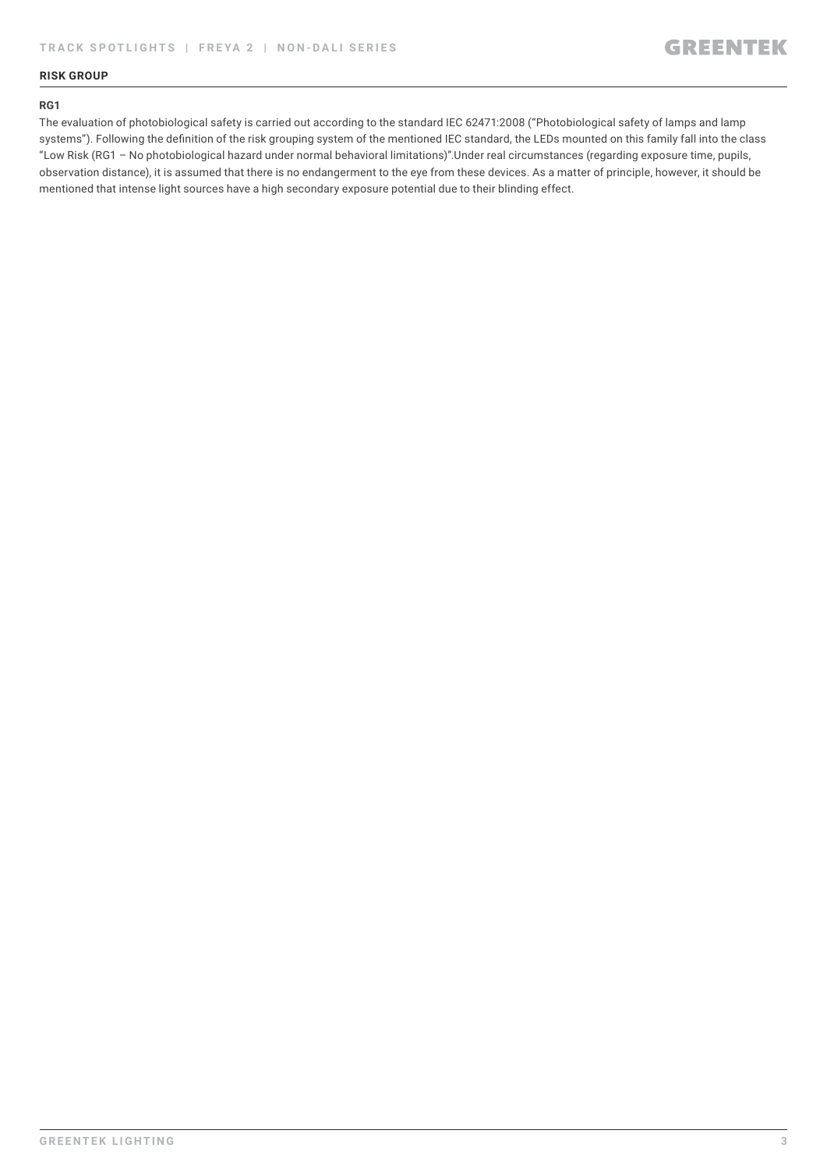#### **RISK GROUP**

#### **RG1**

The evaluation of photobiological safety is carried out according to the standard IEC 62471:2008 ("Photobiological safety of lamps and lamp systems"). Following the definition of the risk grouping system of the mentioned IEC standard, the LEDs mounted on this family fall into the class "Low Risk (RG1 – No photobiological hazard under normal behavioral limitations)".Under real circumstances (regarding exposure time, pupils, observation distance), it is assumed that there is no endangerment to the eye from these devices. As a matter of principle, however, it should be mentioned that intense light sources have a high secondary exposure potential due to their blinding effect.